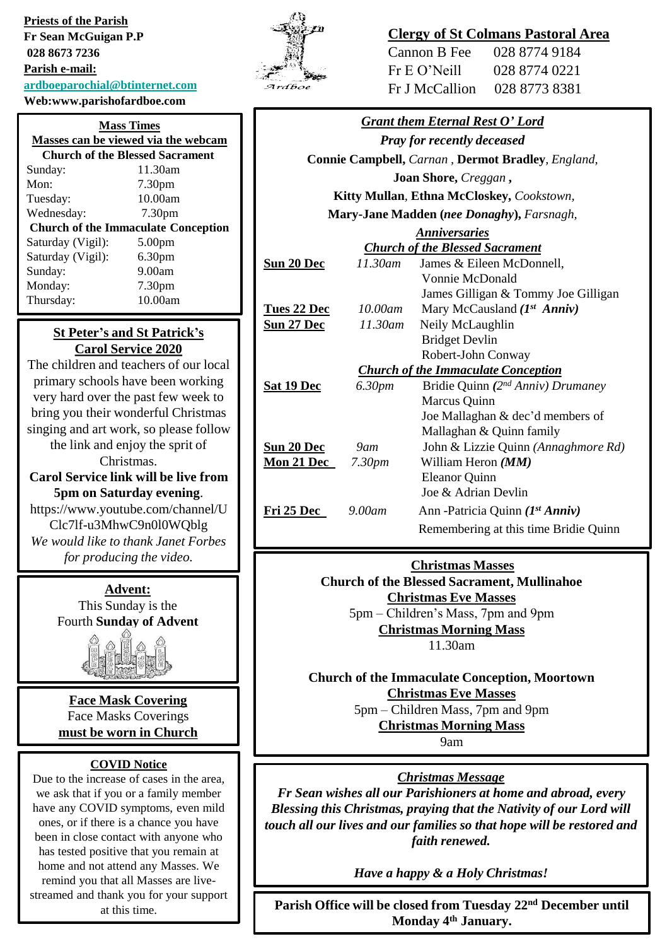**Priests of the Parish Fr Sean McGuigan P.P 028 8673 7236 Parish e-mail: [ardboeparochial@btinternet.com](mailto:ardboeparochial@btinternet.com)**

# **Web:www.parishofardboe.com**

| <b>Mass Times</b><br>Masses can be viewed via the webcam |                    |  |
|----------------------------------------------------------|--------------------|--|
| <b>Church of the Blessed Sacrament</b>                   |                    |  |
| Sunday:                                                  | 11.30am            |  |
| Mon:                                                     | 7.30 <sub>pm</sub> |  |
| Tuesday:                                                 | 10.00am            |  |
| Wednesday:                                               | 7.30 <sub>pm</sub> |  |
| <b>Church of the Immaculate Conception</b>               |                    |  |
| Saturday (Vigil):                                        | 5.00 <sub>pm</sub> |  |
| Saturday (Vigil):                                        | 6.30 <sub>pm</sub> |  |
| Sunday:                                                  | 9.00am             |  |
| Monday:                                                  | 7.30 <sub>pm</sub> |  |
| Thursday:                                                | 10.00am            |  |

#### **St Peter's and St Patrick's Carol Service 2020**

The children and teachers of our local primary schools have been working very hard over the past few week to bring you their wonderful Christmas singing and art work, so please follow the link and enjoy the sprit of Christmas. **Carol Service link will be live from 5pm on Saturday evening**.

https://www.youtube.com/channel/U Clc7lf-u3MhwC9n0l0WQblg *We would like to thank Janet Forbes for producing the video.*

> **Advent:** This Sunday is the Fourth **Sunday of Advent**



**Face Mask Covering** Face Masks Coverings **must be worn in Church** 

#### **COVID Notice**

Due to the increase of cases in the area, we ask that if you or a family member have any COVID symptoms, even mild ones, or if there is a chance you have been in close contact with anyone who has tested positive that you remain at home and not attend any Masses. We remind you that all Masses are livestreamed and thank you for your support at this time.



## **Clergy of St Colmans Pastoral Area**

Cannon B Fee 028 8774 9184 Fr E O'Neill 028 8774 0221 Fr J McCallion 028 8773 8381

| <b>Grant them Eternal Rest O' Lord</b>                   |                    |                                       |
|----------------------------------------------------------|--------------------|---------------------------------------|
| <b>Pray for recently deceased</b>                        |                    |                                       |
| <b>Connie Campbell, Carnan, Dermot Bradley, England,</b> |                    |                                       |
| Joan Shore, Creggan,                                     |                    |                                       |
| Kitty Mullan, Ethna McCloskey, Cookstown,                |                    |                                       |
| Mary-Jane Madden (nee Donaghy), Farsnagh,                |                    |                                       |
| <b>Anniversaries</b>                                     |                    |                                       |
| <b>Church of the Blessed Sacrament</b>                   |                    |                                       |
| <u>Sun 20 Dec</u>                                        | $11.30$ am         | James & Eileen McDonnell,             |
|                                                          |                    | Vonnie McDonald                       |
|                                                          |                    | James Gilligan & Tommy Joe Gilligan   |
| Tues 22 Dec                                              | $10.00$ am         | Mary McCausland $(Ist Anniv)$         |
| <u>Sun 27 Dec</u>                                        | 11.30am            | Neily McLaughlin                      |
|                                                          |                    | <b>Bridget Devlin</b>                 |
|                                                          |                    | Robert-John Conway                    |
| <b>Church of the Immaculate Conception</b>               |                    |                                       |
| <u>Sat 19 Dec</u>                                        | 6.30pm             | Bridie Quinn (2nd Anniv) Drumaney     |
|                                                          |                    | Marcus Quinn                          |
|                                                          |                    | Joe Mallaghan & dec'd members of      |
|                                                          |                    | Mallaghan & Quinn family              |
| <u>Sun 20 Dec</u>                                        | $9$ am             | John & Lizzie Quinn (Annaghmore Rd)   |
| <u>Mon 21 Dec</u>                                        | 7.30 <sub>pm</sub> | William Heron ( <i>MM</i> )           |
|                                                          |                    | <b>Eleanor Quinn</b>                  |
|                                                          |                    | Joe & Adrian Devlin                   |
| <b>Fri 25 Dec</b>                                        | $9.00$ am          | Ann -Patricia Quinn (1st Anniv)       |
|                                                          |                    | Remembering at this time Bridie Quinn |
|                                                          |                    |                                       |

**Christmas Masses**

**Church of the Blessed Sacrament, Mullinahoe Christmas Eve Masses** 5pm – Children's Mass, 7pm and 9pm **Christmas Morning Mass** 

11.30am

**Church of the Immaculate Conception, Moortown Christmas Eve Masses** 5pm – Children Mass, 7pm and 9pm

**Christmas Morning Mass** 

9am

#### *Christmas Message*

*Fr Sean wishes all our Parishioners at home and abroad, every Blessing this Christmas, praying that the Nativity of our Lord will touch all our lives and our families so that hope will be restored and faith renewed.*

*Have a happy & a Holy Christmas!*

**Parish Office will be closed from Tuesday 22nd December until Monday 4 th January.**